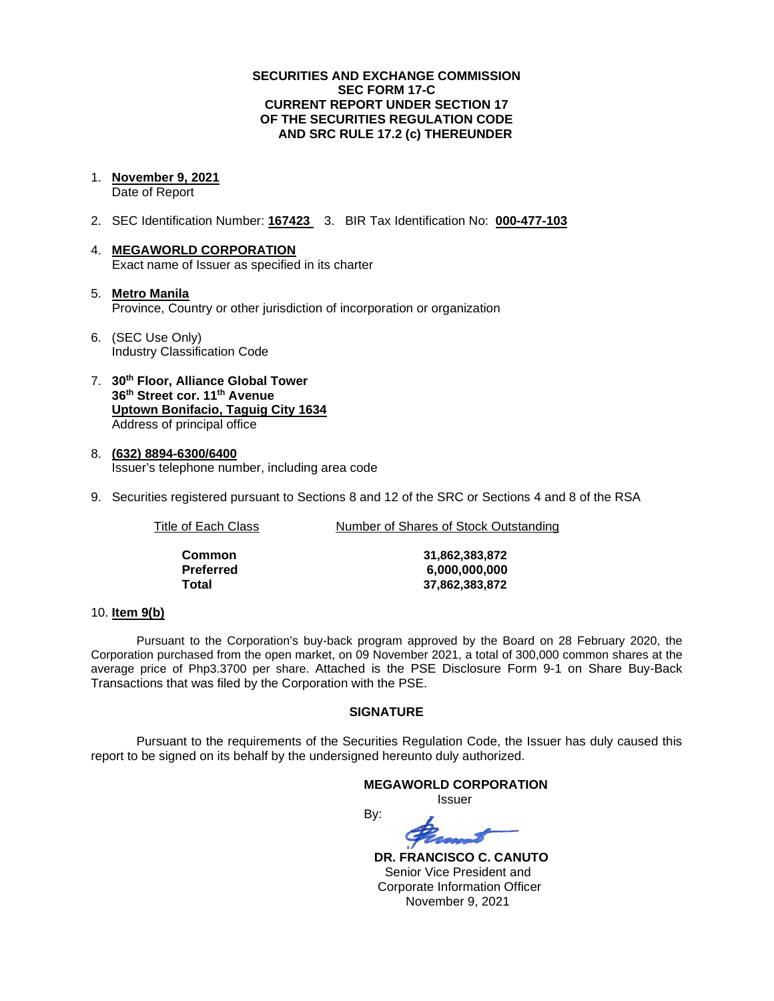## **SECURITIES AND EXCHANGE COMMISSION SEC FORM 17-C CURRENT REPORT UNDER SECTION 17 OF THE SECURITIES REGULATION CODE AND SRC RULE 17.2 (c) THEREUNDER**

1. **November 9, 2021**

Date of Report

- 2. SEC Identification Number: **167423** 3. BIR Tax Identification No: **000-477-103**
- 4. **MEGAWORLD CORPORATION** Exact name of Issuer as specified in its charter
- 5. **Metro Manila** Province, Country or other jurisdiction of incorporation or organization
- 6. (SEC Use Only) Industry Classification Code
- 7. **30th Floor, Alliance Global Tower 36th Street cor. 11th Avenue Uptown Bonifacio, Taguig City 1634** Address of principal office
- 8. **(632) 8894-6300/6400** Issuer's telephone number, including area code
- 9. Securities registered pursuant to Sections 8 and 12 of the SRC or Sections 4 and 8 of the RSA

Title of Each Class **Number of Shares of Stock Outstanding** 

| Common    |
|-----------|
| Preferred |
| Total     |

**Common 31,862,383,872 Preferred 6,000,000,000 Total 37,862,383,872**

### 10. **Item 9(b)**

Pursuant to the Corporation's buy-back program approved by the Board on 28 February 2020, the Corporation purchased from the open market, on 09 November 2021, a total of 300,000 common shares at the average price of Php3.3700 per share. Attached is the PSE Disclosure Form 9-1 on Share Buy-Back Transactions that was filed by the Corporation with the PSE.

## **SIGNATURE**

Pursuant to the requirements of the Securities Regulation Code, the Issuer has duly caused this report to be signed on its behalf by the undersigned hereunto duly authorized.

# **MEGAWORLD CORPORATION** *<u>Issuer</u> Issuer*

By:

 **DR. FRANCISCO C. CANUTO** Senior Vice President and Corporate Information Officer November 9, 2021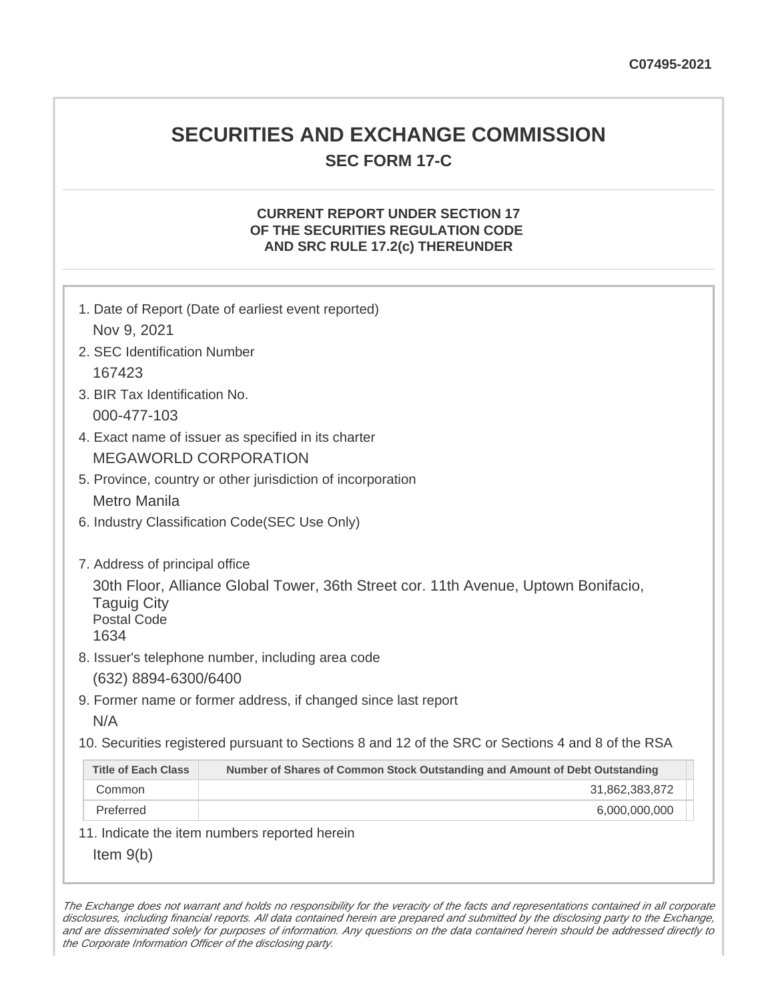# **SECURITIES AND EXCHANGE COMMISSION SEC FORM 17-C**

# **CURRENT REPORT UNDER SECTION 17 OF THE SECURITIES REGULATION CODE AND SRC RULE 17.2(c) THEREUNDER**

| 1. Date of Report (Date of earliest event reported)<br>Nov 9, 2021                                                                     |                                                                             |  |  |  |  |
|----------------------------------------------------------------------------------------------------------------------------------------|-----------------------------------------------------------------------------|--|--|--|--|
| 2. SEC Identification Number                                                                                                           |                                                                             |  |  |  |  |
| 167423                                                                                                                                 |                                                                             |  |  |  |  |
| 3. BIR Tax Identification No.                                                                                                          |                                                                             |  |  |  |  |
| 000-477-103                                                                                                                            |                                                                             |  |  |  |  |
| 4. Exact name of issuer as specified in its charter                                                                                    |                                                                             |  |  |  |  |
| <b>MEGAWORLD CORPORATION</b>                                                                                                           |                                                                             |  |  |  |  |
| 5. Province, country or other jurisdiction of incorporation                                                                            |                                                                             |  |  |  |  |
| <b>Metro Manila</b>                                                                                                                    |                                                                             |  |  |  |  |
|                                                                                                                                        | 6. Industry Classification Code(SEC Use Only)                               |  |  |  |  |
|                                                                                                                                        |                                                                             |  |  |  |  |
| 7. Address of principal office                                                                                                         |                                                                             |  |  |  |  |
| 30th Floor, Alliance Global Tower, 36th Street cor. 11th Avenue, Uptown Bonifacio,<br><b>Taguig City</b><br><b>Postal Code</b><br>1634 |                                                                             |  |  |  |  |
| 8. Issuer's telephone number, including area code                                                                                      |                                                                             |  |  |  |  |
| (632) 8894-6300/6400                                                                                                                   |                                                                             |  |  |  |  |
| 9. Former name or former address, if changed since last report                                                                         |                                                                             |  |  |  |  |
| N/A                                                                                                                                    |                                                                             |  |  |  |  |
| 10. Securities registered pursuant to Sections 8 and 12 of the SRC or Sections 4 and 8 of the RSA                                      |                                                                             |  |  |  |  |
| <b>Title of Each Class</b>                                                                                                             | Number of Shares of Common Stock Outstanding and Amount of Debt Outstanding |  |  |  |  |
| Common                                                                                                                                 | 31,862,383,872                                                              |  |  |  |  |
| Preferred                                                                                                                              | 6,000,000,000                                                               |  |  |  |  |
| 11. Indicate the item numbers reported herein                                                                                          |                                                                             |  |  |  |  |
| Item $9(b)$                                                                                                                            |                                                                             |  |  |  |  |

The Exchange does not warrant and holds no responsibility for the veracity of the facts and representations contained in all corporate disclosures, including financial reports. All data contained herein are prepared and submitted by the disclosing party to the Exchange, and are disseminated solely for purposes of information. Any questions on the data contained herein should be addressed directly to the Corporate Information Officer of the disclosing party.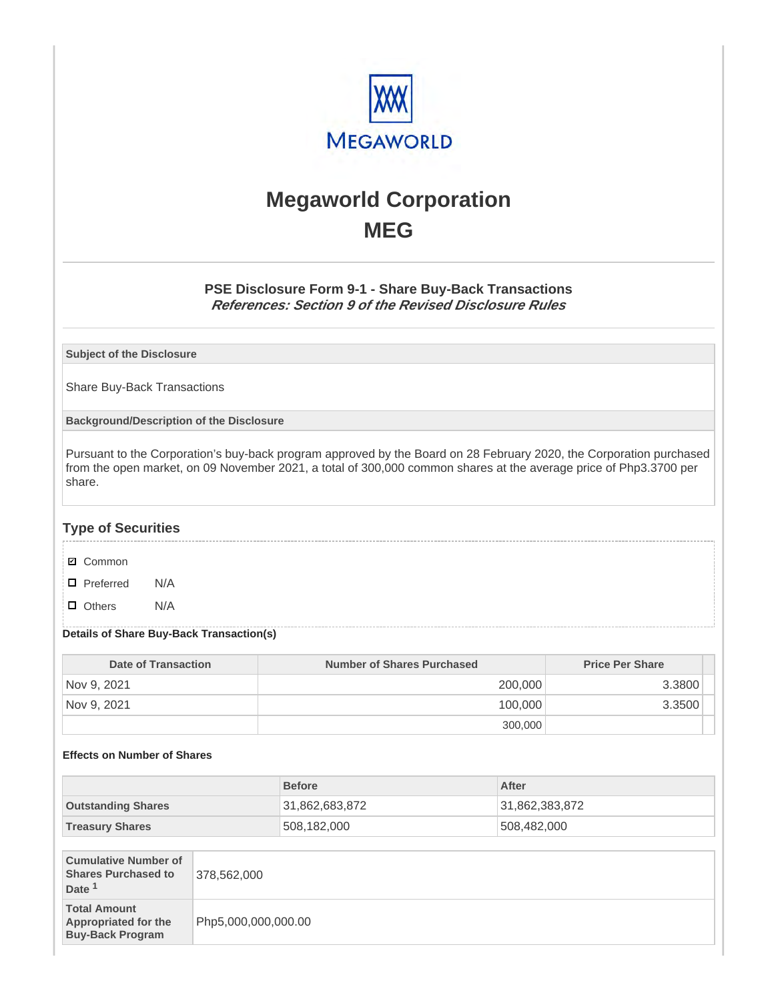

# **Megaworld Corporation MEG**

# **PSE Disclosure Form 9-1 - Share Buy-Back Transactions References: Section 9 of the Revised Disclosure Rules**

**Subject of the Disclosure**

Share Buy-Back Transactions

**Background/Description of the Disclosure**

Pursuant to the Corporation's buy-back program approved by the Board on 28 February 2020, the Corporation purchased from the open market, on 09 November 2021, a total of 300,000 common shares at the average price of Php3.3700 per share.

# **Type of Securities**

- **☑** Common
- □ Preferred N/A
- D Others N/A

### **Details of Share Buy-Back Transaction(s)**

| Date of Transaction | Number of Shares Purchased | <b>Price Per Share</b> |
|---------------------|----------------------------|------------------------|
| Nov 9, 2021         | 200,000                    | 3.3800                 |
| Nov 9, 2021         | 100,000                    | 3.3500                 |
|                     | 300,000                    |                        |

### **Effects on Number of Shares**

|                                                                                |                     | <b>Before</b>  |  | After          |
|--------------------------------------------------------------------------------|---------------------|----------------|--|----------------|
| <b>Outstanding Shares</b>                                                      |                     | 31,862,683,872 |  | 31,862,383,872 |
| <b>Treasury Shares</b>                                                         |                     | 508,182,000    |  | 508,482,000    |
|                                                                                |                     |                |  |                |
| <b>Cumulative Number of</b><br><b>Shares Purchased to</b><br>Date <sup>1</sup> | 378,562,000         |                |  |                |
| <b>Total Amount</b><br><b>Appropriated for the</b><br><b>Buy-Back Program</b>  | Php5,000,000,000.00 |                |  |                |